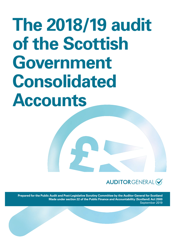# **The 2018/19 audit of the Scottish Government Consolidated Accounts**

# AUDITORGENERAL<sup>C</sup>

**Prepared for the Public Audit and Post-Legislative Scrutiny Committee by the Auditor General for Scotland Made under section 22 of the Public Finance and Accountability (Scotland) Act 2000** September 2019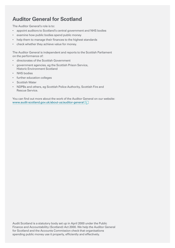### **Auditor General for Scotland**

The Auditor General's role is to:

- appoint auditors to Scotland's central government and NHS bodies
- examine how public bodies spend public money
- help them to manage their finances to the highest standards
- check whether they achieve value for money.

The Auditor General is independent and reports to the Scottish Parliament on the performance of:

- directorates of the Scottish Government
- government agencies, eg the Scottish Prison Service, Historic Environment Scotland
- NHS bodies
- further education colleges
- Scottish Water
- NDPBs and others, eg Scottish Police Authority, Scottish Fire and Rescue Service.

You can find out more about the work of the Auditor General on our website: www.audit-scotland.gov.uk/about-us/auditor-general

Audit Scotland is a statutory body set up in April 2000 under the Public Finance and Accountability (Scotland) Act 2000. We help the Auditor General for Scotland and the Accounts Commission check that organisations spending public money use it properly, efficiently and effectively.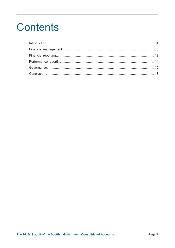# **Contents**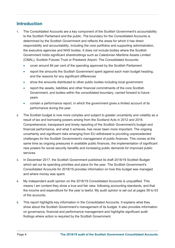#### **Introduction**

- **1.** The Consolidated Accounts are a key component of the Scottish Government's accountability to the Scottish Parliament and the public. The boundary for the Consolidated Accounts is determined by the Scottish Government and reflects the areas for which it has direct responsibility and accountability, including the core portfolios and supporting administration, the executive agencies and NHS bodies. It does not include bodies where the Scottish Government holds significant shareholdings such as Caledonian Maritime Assets Limited (CMAL), Scottish Futures Trust or Prestwick Airport. The Consolidated Accounts:
	- cover around 84 per cent of the spending approved by the Scottish Parliament
	- report the amounts the Scottish Government spent against each main budget heading, and the reasons for any significant differences
	- show the amounts distributed to other public bodies including local government
	- report the assets, liabilities and other financial commitments of the core Scottish Government, and bodies within the consolidated boundary, carried forward to future years
	- contain a performance report, in which the government gives a limited account of its performance during the year.
- **2.** The Scottish budget is now more complex and subject to greater uncertainty and volatility as a result of tax and borrowing powers arising from the Scotland Acts in 2012 and 2016. Comprehensive, transparent and timely reporting of the Scottish Government's budget and financial performance, and what it achieves, has never been more important. The ongoing uncertainty and significant risks emerging from EU withdrawal is providing unprecedented challenges for the Scottish Government's management of public finances. This comes at the same time as ongoing pressures in available public finances, the implementation of significant new powers for social security benefits and increasing public demands for improved public services.
- **3.** In December 2017, the Scottish Government published its draft 2018/19 Scottish Budget which set out its spending priorities and plans for the year. The Scottish Government's Consolidated Accounts for 2018/19 provides information on how this budget was managed and where money was spent.
- **4.** My independent audit opinion on the 2018/19 Consolidated Accounts is unqualified. This means I am content they show a true and fair view, following accounting standards, and that the income and expenditure for the year is lawful. My audit opinion is set out at pages 59 to 63 of the accounts.
- **5.** This report highlights key information in the Consolidated Accounts. It explains what they show about the Scottish Government's management of its budget. It also provides information on governance, financial and performance management and highlights significant audit findings where action is required by the Scottish Government.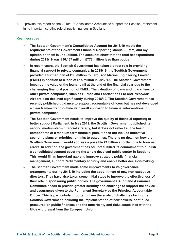**6.** I provide this report on the 2018/19 Consolidated Accounts to support the Scottish Parliament in its important scrutiny role of public finances in Scotland.

#### **Key messages**

- x **The Scottish Government's Consolidated Account for 2018/19 meets the requirements of the Government Financial Reporting Manual (FReM) and my opinion on them is unqualified. The accounts show that the total net expenditure during 2018/19 was £36,137 million, £778 million less than budget.**
- In recent years, the Scottish Government has taken a direct role in providing **financial support to private companies. In 2018/19, the Scottish Government provided a further loan of £30 million to Ferguson Marine Engineering Limited (FMEL) in addition to a loan of £15 million in 2017/18. The Scottish Government impaired the value of the loans to nil at the end of the financial year due to the challenging financial position of FMEL. The valuation of loans and guarantees to other private companies, such as Burntisland Fabrications Ltd and Prestwick Airport, also declined significantly during 2018/19. The Scottish Government has recently published guidance to support accountable officers but has not developed a clear framework to outline its overall approach to financial interventions in private companies.**
- x **The Scottish Government needs to improve the quality of financial reporting to better support Parliament. In May 2019, the Scottish Government published its second medium-term financial strategy, but it does not reflect all the basic components of a medium-term financial plan. It does not include indicative spending plans or priorities, or links to outcomes. There is no detail on how the Scottish Government would address a possible £1 billion shortfall due to forecast errors. In addition, the government has still not fulfilled its commitment to publish a consolidated account covering the whole devolved public sector in Scotland. This would fill an important gap and improve strategic public financial management, support Parliamentary scrutiny and enable better decision-making.**
- x **The Scottish Government made some improvements to its governance arrangements during 2018/19 including the appointment of new non-executive directors. They have also taken some initial steps to improve the effectiveness of their role in sponsoring public bodies. The government's Audit and Assurance Committee needs to provide greater scrutiny and challenge to support the advice and assurances given to the Permanent Secretary as the Principal Accountable Officer. This is particularly important given the scale of challenges facing the Scottish Government including the implementation of new powers, continued pressures on public finances and the uncertainty and risks associated with the UK's withdrawal from the European Union.**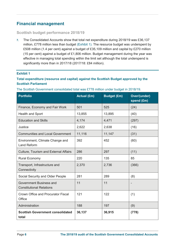#### **Financial management**

#### **Scottish budget performance 2018/19**

**7.** The Consolidated Accounts show that total net expenditure during 2018/19 was £36,137 million, £778 million less than budget (Exhibit 1). The resource budget was underspent by £508 million (1.4 per cent) against a budget of £35,109 million and capital by £270 million (15 per cent) against a budget of £1,806 million. Budget management during the year was effective in managing total spending within the limit set although the total underspend is significantly more than in 2017/18 (2017/18: £84 million).

#### **Exhibit 1**

#### **Total expenditure (resource and capital) against the Scottish Budget approved by the Scottish Parliament**

| <b>Portfolio</b>                                           | <b>Actual (£m)</b> | <b>Budget (£m)</b> | Over/(under)<br>spend (£m) |  |
|------------------------------------------------------------|--------------------|--------------------|----------------------------|--|
| Finance, Economy and Fair Work                             | 501                | 525                | (24)                       |  |
| Health and Sport                                           | 13,855             | 13,895             | (40)                       |  |
| <b>Education and Skills</b>                                | 4,174              | 4,471              | (297)                      |  |
| Justice                                                    | 2,622              | 2,638              | (16)                       |  |
| <b>Communities and Local Government</b>                    | 11,116             | 11,147             | (31)                       |  |
| Environment, Climate Change and<br><b>Land Reform</b>      | 392                | 452                | (60)                       |  |
| <b>Culture, Tourism and External Affairs</b>               | 286                | 297                | (11)                       |  |
| <b>Rural Economy</b>                                       | 220                | 135                | 85                         |  |
| Transport, Infrastructure and<br>Connectivity              | 2,370              | 2,736              | (366)                      |  |
| Social Security and Older People                           | 281                | 289                | (8)                        |  |
| Government Business and<br><b>Constitutional Relations</b> | 11                 | 11                 | $\overline{\phantom{a}}$   |  |
| Crown Office and Procurator Fiscal<br>Office               | 121                | 122                | (1)                        |  |
| Administration                                             | 188                | 197                | (9)                        |  |
| <b>Scottish Government consolidated</b><br>total           | 36,137             | 36,915             | (778)                      |  |

The Scottish Government consolidated total was £778 million under budget in 2018/19.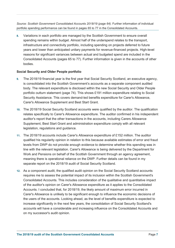Source: Scottish Government Consolidated Accounts 2018/19 (page 64). Further information of individual portfolio spending performance can be found in pages 65 to 77 in the Consolidated Accounts.

**8.**  spending remains within budget. Almost half of the underspend relates to the transport, infrastructure and connectivity portfolio, including spending on projects deferred to future years and lower than anticipated unitary payments for revenue-financed projects. High-level reasons for significant variances between actual and budgeted spend are included in the Consolidated Accounts (pages 65 to 77). Further information is given in the accounts of other bodies. Variations in each portfolio are managed by the Scottish Government to ensure overall

#### **Social Security and Older People portfolio**

- **9.** The 2018/19 financial year is the first year that Social Security Scotland, an executive agency, is consolidated into the Scottish Government's accounts as a separate component audited body. The relevant expenditure is disclosed within the new Social Security and Older People portfolio outturn statement (page 74). This shows £191 million expenditure relating to Social Security Assistance. This covers demand-led benefits expenditure for Carer's Allowance, Carer's Allowance Supplement and Best Start Grant.
- **10.** The 2018/19 Social Security Scotland accounts were qualified by the auditor. The qualification relates specifically to Carer's Allowance expenditure. The auditor confirmed in his independent auditor's report that the other transactions in the accounts, including Carers Allowance Supplement, Best Start Grant and administration expenditure comply with all relevant legislation, regulations and guidance.
- **11.** The 2018/19 accounts include Carer's Allowance expenditure of £152 million. The auditor qualified his regularity opinion in relation to this because available estimates of error and fraud levels from DWP do not provide enough evidence to determine whether this spending was in line with the relevant legislation. Carer's Allowance is being delivered by the Department for Work and Pensions on behalf of the Scottish Government through an agency agreement, meaning there is operational reliance on the DWP. Further details can be found in my separate report on the 2018/19 audit of Social Security Scotland.
- **12.** As a component audit, the qualified audit opinion on the Social Security Scotland accounts requires me to assess the potential impact of its inclusion within the Scottish Government's Consolidated Accounts. This includes consideration of the qualitative and quantitative impact of the auditor's opinion on Carer's Allowance expenditure as it applies to the Consolidated Accounts. I concluded that, for 2018/19, the likely amount of maximum error incurred in Carer's Allowance is unlikely to be significant enough to influence the economic decisions of the users of the accounts. Looking ahead, as the level of benefits expenditure is expected to increase significantly in the next few years, the consolidation of Social Security Scotland's accounts will have a considerable and increasing influence on the Consolidated Accounts and on my successor's audit opinion.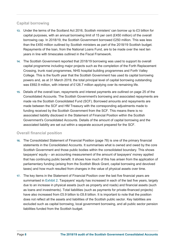#### **Capital borrowing**

- **13.** Under the terms of the Scotland Act 2016, Scottish ministers' can borrow up to £3 billion for capital purposes, with an annual borrowing limit of 15 per cent (£450 million) of the overall borrowing cap. In 2018/19, the Scottish Government borrowed £250 million. This was less than the £450 million outlined by Scottish ministers as part of the 2018/19 Scottish budget. Repayments of the loan, from the National Loans Fund, are to be made over the next ten years in line with timescales outlined in the Fiscal Framework.
- **14.** The Scottish Government reported that 2018/19 borrowing was used to support its overall capital programme including major projects such as the completion of the Forth Replacement Crossing, trunk road programmes, NHS hospital building programmes and Forth Valley College. This is the fourth year that the Scottish Government has used its capital borrowing powers and, as at 31 March 2019, the total principal level of capital borrowing outstanding was £692.9 million, with interest of £126.7 million applying over its remaining life.
- **15.** Details of the overall loan, repayments and interest payments are outlined on page 25 of the Consolidated Accounts. The Scottish Government's borrowing and associated repayments are made via the Scottish Consolidated Fund (SCF). Borrowed amounts and repayments are made between the SCF and HM Treasury with the corresponding adjustments made to funding received by the Scottish Government from the SCF. This means there is no associated liability disclosed in the Statement of Financial Position within the Scottish Government's Consolidated Accounts. Details of the amount of capital borrowing and the associated liability are set out within a separate account prepared for the SCF.

#### **Overall financial position**

- **16.** The Consolidated Statement of Financial Position (page 78) is one of the primary financial statements in the Consolidated Accounts. It summarises what is owned and owed by the core Scottish Government and those public bodies within the consolidated boundary. This shows taxpayers' equity – an accounting measurement of the amount of taxpayers' money applied that has continuing public benefit. It shows how much of this has arisen from the application of parliamentary funding (arising from the Scottish Block Grant, capital borrowing and devolved taxes) and how much resulted from changes in the value of physical assets over time.
- **17.** The key items in the Statement of Financial Position over the last five financial years are summarised in Exhibit 2. Taxpayers' equity has increased in each of the last five years, largely due to an increase in physical assets (such as property and roads) and financial assets (such as loans and investments). Total liabilities (such as payments for private-financed projects) have also increased from £5.9 billion to £8.8 billion. It is important to note that the position does not reflect all the assets and liabilities of the Scottish public sector. Key liabilities are excluded such as capital borrowing, local government borrowing, and all public sector pension liabilities funded from the Scottish budget.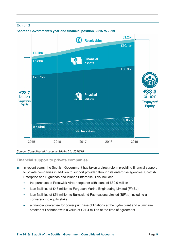

#### *Source: Consolidated Accounts 2014/15 to 2018/19.*

#### **Financial support to private companies**

- **18.** In recent years, the Scottish Government has taken a direct role in providing financial support to private companies in addition to support provided through its enterprise agencies; Scottish Enterprise and Highlands and Islands Enterprise. This includes:
	- the purchase of Prestwick Airport together with loans of £39.9 million
	- Ioan facilities of £45 million to Ferguson Marine Engineering Limited (FMEL)
	- Ioan facilities of £51 million to Burntisland Fabrications Limited (BiFab) including a conversion to equity stake.
	- a financial guarantee for power purchase obligations at the hydro plant and aluminium smelter at Lochaber with a value of £21.4 million at the time of agreement.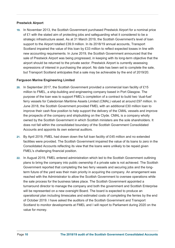#### **Prestwick Airport**

**19.** In November 2013, the Scottish Government purchased Prestwick Airport for a nominal price of £1 with the stated aim of protecting jobs and safeguarding what it considered to be a strategic infrastructure asset. As at 31 March 2019, the Scottish Government's level of loan support to the Airport totalled £39.9 million. In its 2018/19 annual accounts, Transport Scotland impaired the value of this loan by £33 million to reflect expected losses in line with new accounting requirements. In June 2019, the Scottish Government announced that the sale of Prestwick Airport was being progressed, in keeping with its long-term objective that the airport should be returned to the private sector. Prestwick Airport is currently assessing expressions of interest in purchasing the airport. No date has been set to complete the sale, but Transport Scotland anticipates that a sale may be achievable by the end of 2019/20.

#### **Ferguson Marine Engineering Limited**

- **20.** In September 2017, the Scottish Government provided a commercial loan facility of £15 million to FMEL, a ship-building and engineering company based in Port Glasgow. The purpose of the loan was to support FMEL's completion of a contract to build two 'dual-fuel' ferry vessels for Caledonian Maritime Assets Limited (CMAL) valued at around £97 million. In June 2018, the Scottish Government provided FMEL with an additional £30 million loan to improve their cash flow position to help support the delivery of the CMAL vessels and improve the prospects of the company and shipbuilding on the Clyde. CMAL is a company wholly owned by the Scottish Government in which Scottish ministers are the sole shareholders. It does not fall within the consolidated boundary of the Scottish Government Consolidated Accounts and appoints its own external auditors.
- **21.** By April 2019, FMEL had drawn down the full loan facility of £45 million and no extended facilities were provided. The Scottish Government impaired the value of its loans to zero in the Consolidated Accounts reflecting its view that the loans were unlikely to be repaid given FMEL's challenging financial position.
- **22.** In August 2019, FMEL entered administration which led to the Scottish Government outlining plans to bring the company into public ownership if a private sale is not achieved. The Scottish Government reported that completing the two ferry vessels and securing jobs and the longterm future of the yard was their main priority in acquiring the company. An arrangement was reached with the Administrator to allow the Scottish Government to oversee operations while the sale process for the business takes place. The Scottish Government appointed a turnaround director to manage the company and both the government and Scottish Enterprise will be represented on a new oversight Board. The board is expected to produce an operational plan including timescales and estimated costs of completing the ferries by the end of October 2019. I have asked the auditors of the Scottish Government and Transport Scotland to monitor developments at FMEL and I will report to Parliament during 2020 on the value for money.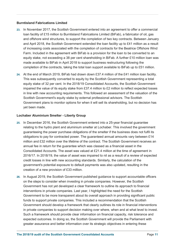#### **Burntisland Fabrications Limited**

- **23.** In November 2017, the Scottish Government entered into an agreement to offer a commercial loan facility of £15 million to Burntisland Fabrications Limited (BiFab), a fabricator of oil, gas and offshore wind structures, to support the completion of two key contracts. Between January and April 2018, the Scottish Government extended the loan facility up to £41 million as a result of increasing costs associated with the completion of contracts for the Beatrice Offshore Wind Farm. Included in the agreement with BiFab is a provision for the loan to be converted to an equity stake, not exceeding a 38 per cent shareholding in BiFab. A further £10 million loan was made available to BiFab in April 2018 to support business restructuring following the completion of the contracts, taking the total loan support available to BiFab up to £51 million.
- **24.** At the end of March 2019, BiFab had drawn down £37.4 million of the £41 million loan facility. This was subsequently converted to equity by the Scottish Government representing a total equity stake of 32 per cent. In the 2018/19 Consolidated Accounts, the Scottish Government impaired the value of its equity stake from £37.4 million to £2 million to reflect expected losses in line with new accounting requirements. This followed an assessment of the valuation of the Scottish Government's equity stake by external professional advisors. The Scottish Government plans to monitor options for when it will sell its shareholding, but no decision has yet been made.

#### **Lochaber Aluminium Smelter - Liberty Group**

- **25.** In December 2016, the Scottish Government entered into a 25-year financial guarantee relating to the hydro plant and aluminium smelter at Lochaber. This involved the government guaranteeing the power purchase obligations of the smelter if the business does not fulfil its obligations to pay for contracted power. The guaranteed annual amounts vary between £14 million and £32 million over the lifetime of the contract. The Scottish Government receives an annual fee in return for the guarantee which was classed as a financial asset in the Consolidated Accounts. The asset was valued at £21.4 million at the time of agreement in 2016/17. In 2018/19, the value of asset was impaired to nil as a result of a review of expected credit losses in line with new accounting standards. Similarly, the calculation of the government's potential exposure to default payments was also updated, resulting in the creation of a new provision of £33 million.
- **26.** In August 2019, the Scottish Government published guidance to support accountable officers on the steps to consider when investing in private companies. However, the Scottish Government has not yet developed a clear framework to outline its approach to financial interventions in private companies. Last year, I highlighted the need for the Scottish Government to be more transparent about its overall approach in providing significant public funds to support private companies. This included a recommendation that the Scottish Government should develop a framework that clearly outlines its role in financial interventions in private companies to support decision making over where, when and at what level to invest. Such a framework should provide clear information on financial capacity, risk tolerance and expected outcomes. In doing so, the Scottish Government will provide the Parliament with greater assurance and better information over its strategic objectives in entering these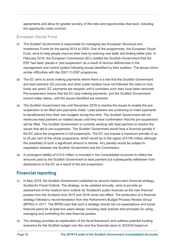agreements and allow for greater scrutiny of the risks and opportunities that exist, including the opportunity costs involved.

#### **European Social Fund**

- **27.** The Scottish Government is responsible for managing two European Structural and Investment Funds for the period 2014 to 2020. One of the programmes, the European Social Fund, aims to help people improve their lives by learning new skills and finding better jobs. In February 2019, the European Commission (EC) notified the Scottish Government that the ESF had been placed in 'pre-suspension' as a result of serious deficiencies in the management and control system following issues identified by their auditors. The issues mirror similar difficulties with the 2007-13 ESF programme.
- **28.** The EC aims to avoid making payments where there is a risk that the Scottish Government and lead partners (32 councils and other public bodies) have not followed the rules on how funds are spent. EC payments are stopped until it considers such risks have been removed. Pre-suspension means that the EC stop making payments, and the Scottish Government cannot make claims, until the issues identified are resolved.
- **29.** The Scottish Government has until November 2019 to resolve the issues to enable the presuspension to be lifted and payments made. Lead partners are continuing to make payments to beneficiaries from their own budgets during this time. The Scottish Government will not reimburse lead partners on related issues until they have confirmation that the pre-suspension will be lifted. The Scottish Government is currently working with lead partners to resolve the issues that led to pre-suspension. The Scottish Government would face a financial penalty if the EC place the programme in full suspension. The EC can impose a maximum penalty of up to 25 per cent of the whole programme, which would be in the region of £190 million although the possibility of such a significant amount is remote. Any penalty would be subject to negotiation between the Scottish Government and the Commission.
- **30.** A contingent liability of £10.4 million is included in the Consolidated Accounts to reflect the amounts paid by the Scottish Government to lead partners but subsequently withdrawn from declarations to the EC as a result of the pre-suspension.

#### **Financial reporting**

- **31.** In May 2019, the Scottish Government published its second medium-term financial strategy, Scotland's Fiscal Outlook. The strategy, to be updated annually, aims to provide an assessment of the medium-term outlook for Scotland's public finances as the new financial powers from the Scotland Acts 2012 and 2016 come into effect. The production of a financial strategy followed a recommendation from the Parliament's Budget Process Review Group (BPRG) in 2017. The BPRG said that such a strategy should set out expectations and broad financial plans for at least five years ahead, including clear policies and principles for using, managing and controlling the new financial powers.
- **32.** The strategy provides an explanation of the fiscal framework and outlines potential funding scenarios for the Scottish budget over the next five financial years to 2023/24 based on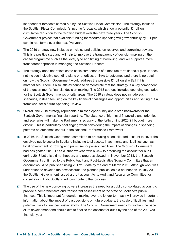independent forecasts carried out by the Scottish Fiscal Commission. The strategy includes the Scottish Fiscal Commission's income forecasts, which show a potential £1 billion cumulative reduction to the Scottish budget over the next three years. The Scottish Government project that available funding for resource spending will grow annually by 1.1 per cent in real terms over the next five years.

- **33.** The 2019 strategy now includes principles and policies on reserves and borrowing powers. This is a positive step and will help to improve the transparency of decision-making on the capital programme such as the level, type and timing of borrowing, and will support a more transparent approach in managing the Scotland Reserve.
- **34.** The strategy does not reflect some basic components of a medium-term financial plan. It does not include indicative spending plans or priorities, or links to outcomes and there is no detail on how the Scottish Government would address the possible £1 billion shortfall if this materialises. There is also little evidence to demonstrate that the strategy is a key component of the government's financial decision-making. The 2018 strategy included spending scenarios for the Scottish Government's priority areas. The 2019 strategy does not include such scenarios, instead focusing on the key financial challenges and opportunities and setting out a framework for a future Spending Review.
- **35.** Overall, the 2019 strategy represents a missed opportunity and a step backwards for the Scottish Government's financial reporting. The absence of high-level financial plans, priorities and scenarios will make the Parliament's scrutiny of the forthcoming 2020/21 budget more difficult. This is particularly challenging when considering the impact of changes in spending patterns on outcomes set out in the National Performance Framework.
- **36.** In 2016, the Scottish Government committed to producing a consolidated account to cover the devolved public sector in Scotland including total assets, investments and liabilities such as local government borrowing and public sector pension liabilities. The Scottish Government had designated 2016/17 as a 'shadow year' with a view to producing the account for audit during 2018 but this did not happen, and progress slowed. In November 2018, the Scottish Government confirmed to the Public Audit and Post-Legislative Scrutiny Committee that an account would be published using 2017/18 data by the end of March 2019. Although work was undertaken to develop the new account, the planned publication did not happen. In July 2019, the Scottish Government issued a draft account to its Audit and Assurance Committee for consultation. Audit Scotland will contribute to that process.
- **37.** The use of the new borrowing powers increases the need for a public consolidated account to provide a comprehensive and transparent assessment of the state of Scotland's public finances. This is important for decision making over the longer term as it will provide important information about the impact of past decisions on future budgets, the scale of liabilities, and potential risks to financial sustainability. The Scottish Government needs to quicken the pace of its development and should aim to finalise the account for audit by the end of the 2019/20 financial year.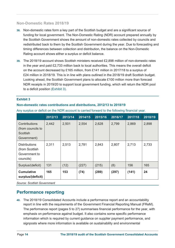#### **Non-Domestic Rates 2018/19**

- **38.** Non-domestic rates form a key part of the Scottish budget and are a significant source of funding for local government. The Non-Domestic Rating (NDR) account prepared annually by the Scottish Government shows the amount of non-domestic rates collected by councils and redistributed back to them by the Scottish Government during the year. Due to forecasting and timing differences between collection and distribution, the balance on the Non-Domestic Rating account shows either a surplus or deficit balance.
- **39.** The 2018/19 account shows Scottish ministers received £2,898 million of non-domestic rates in the year and paid £2,733 million back to local authorities. This means the overall deficit on the account decreased by £165 million, from £141 million in 2017/18 to a surplus of £24 million in 2018/19. This is in line with plans outlined in the 2018/19 draft Scottish budget. Looking ahead, the Scottish Government plans to allocate £100 million more than forecast NDR receipts in 2019/20 to support local government funding, which will return the NDR pool to a deficit position (Exhibit 3).

#### **Exhibit 3**

#### **Non-domestic rates contributions and distributions, 2012/13 to 2018/19**

|                                                                       | 2012/13 | 2013/14 | 2014/15 | 2015/16 | 2016/17 | 2017/18 | 2018/19 |
|-----------------------------------------------------------------------|---------|---------|---------|---------|---------|---------|---------|
| Contributions<br>(from councils to<br>Scottish<br>Government)         | 2,442   | 2,501   | 2,554   | 2,628   | 2,799   | 2,869   | 2,898   |
| <b>Distributions</b><br>(from Scottish)<br>Government to<br>councils) | 2,311   | 2,513   | 2,781   | 2,843   | 2,807   | 2,713   | 2,733   |
| Surplus/(deficit)                                                     | 131     | (12)    | (227)   | (215)   | (8)     | 156     | 165     |
| <b>Cumulative</b><br>surplus/(deficit)                                | 165     | 153     | (74)    | (289)   | (297)   | (141)   | 24      |

Any surplus or deficit on the NDR account is carried forward to the following financial year.

*Source: Scottish Government* 

#### **Performance reporting**

**40.** The 2018/19 Consolidated Accounts include a performance report and an accountability report in line with the requirements of the Government Financial Reporting Manual (FReM). The performance report (pages 5 to 27) summarises financial performance for the year, with emphasis on performance against budget. It also contains some specific performance information which is required by current guidance on supplier payment performance, and signposts where more information is available on sustainability and environmental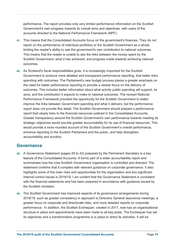performance. The report provides only very limited performance information on the Scottish Government's own progress towards its overall aims and objectives, with users of the accounts directed to the National Performance Framework (NPF).

- **41.** This means that the Consolidated Accounts focus on the government's finances. They do not report on the performance of individual portfolios or the Scottish Government as a whole, limiting the reader's ability to see the government's own contribution to national outcomes. This means that the reader is unable to see the links between the money spent by the Scottish Government, what it has achieved, and progress made towards achieving national outcomes.
- **42.** As Scotland's fiscal responsibilities grow, it is increasingly important for the Scottish Government to produce more detailed and transparent performance reporting, that better links spending with outcomes. The Parliament's new budget process places a greater emphasis on the need for better performance reporting to provide a clearer focus on the delivery of outcomes. This includes better information about what activity public spending will support, its aims, and the contribution it expects to make to national outcomes. The revised National Performance Framework provided the opportunity for the Scottish Government to better improve the links between Government spending and what it delivers, but the performance report does not provide this detail. The Scottish Government should prepare a performance report that clearly links to the financial resources outlined in the Consolidated Accounts. Greater transparency around the Scottish Government's own performance towards meeting its strategic objectives would provide greater accountability for its use of financial resources. This would provide a more rounded account of the Scottish Government's overall performance, enhance reporting to the Scottish Parliament and the public, and help strengthen accountability and scrutiny.

#### **Governance**

- **43.** A Governance Statement (pages 29 to 43) prepared by the Permanent Secretary is a key feature of the Consolidated Accounts. It forms part of a wider accountability report and summarises how the core Scottish Government organisation is controlled and directed. The statement confirms that it complies with relevant guidance on corporate governance. It also highlights some of the main risks and opportunities for the organisation and any significant internal control issues in 2018/19. I am content that the Governance Statement is consistent with the financial statements and has been prepared in accordance with guidance issued by the Scottish ministers.
- **44.** The Scottish Government has improved aspects of its governance arrangements during 2018/19, such as greater consistency in approach to Directors General assurance meetings, a greater focus on corporate and directorate risks, and more detailed reports on corporate performance. In addition, the Scottish Exchequer, created in 2017, now has an organisational structure in place and appointments have been made to all key posts. The Exchequer has set its objectives and a transformation programme is in place to direct its activities. It will be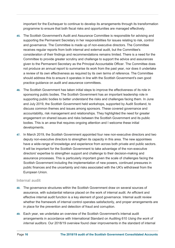important for the Exchequer to continue to develop its arrangements through its transformation programme to ensure that both fiscal risks and opportunities are managed effectively.

- **45.** The Scottish Government's Audit and Assurance Committee is responsible for advising and supporting the Permanent Secretary in her responsibilities for issues relating to risk, control and governance. The Committee is made up of non-executive directors. The Committee receives regular reports from both internal and external audit, but the Committee's consideration of their findings and recommendations remains limited. There is a need for the Committee to provide greater scrutiny and challenge to support the advice and assurances given to the Permanent Secretary as the Principal Accountable Officer. The Committee does not produce an annual report to summarise its work from the past year, nor does it undertake a review of its own effectiveness as required by its own terms of reference. The Committee should address this to ensure it operates in line with the Scottish Government's own good practice guidance on audit and assurance committees.
- **46.** The Scottish Government has taken initial steps to improve the effectiveness of its role in sponsoring public bodies. The Scottish Government has an important leadership role in supporting public bodies to better understand the risks and challenges facing them. In June and July 2019, the Scottish Government held workshops, supported by Audit Scotland, to discuss common themes and issues among sponsors. These covered governance and accountability, risk management and relationships. They highlighted the need for greater engagement on shared issues and risks between the Scottish Government and its public bodies. This is an area that requires ongoing attention and I welcome these initial developments.
- **47.** In March 2019, the Scottish Government appointed four new non-executive directors and two deputy non-executive directors to strengthen its capacity in this area. The new appointees have a wide-range of knowledge and experience from across both private and public sectors. It will be important for the Scottish Government to take advantage of the non-executive directors' expertise to strengthen support and challenge to their decision-making and assurance processes. This is particularly important given the scale of challenges facing the Scottish Government including the implementation of new powers, continued pressures in public finances and the uncertainty and risks associated with the UK's withdrawal from the European Union.

#### **Internal audit**

- **48.** The governance structures within the Scottish Government draw on several sources of assurance, with substantial reliance placed on the work of internal audit. An efficient and effective internal audit function is a key element of good governance. Internal audit review whether the framework of internal control operates satisfactorily, and proper arrangements are in place for the prevention and detection of fraud and corruption.
- **49.** Each year, we undertake an overview of the Scottish Government's internal audit arrangements in accordance with International Standard on Auditing 610 *Using the work of internal auditors*. Our 2018/19 overview found clear improvements in the standard of internal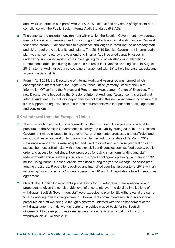audit work undertaken compared with 2017/18. We did not find any areas of significant noncompliance with the Public Sector Internal Audit Standards (PSIAS).

- **50.** The complex and uncertain environment within which the Scottish Government now operates means there is an increasing need for a strong and effective internal audit function. Our work found that Internal Audit continues to experience challenges in recruiting the necessary staff and skills required to deliver its audit plans. The 2018/19 Scottish Government internal audit plan was not complete by the year end and Internal Audit reported capacity issues in undertaking unplanned work such as investigating fraud or whistleblowing allegations. Recruitment campaigns during the year did not result in all vacancies being filled. In August 2019, Internal Audit agreed a co-sourcing arrangement with EY to help increase capacity and access specialist skills.
- **51.** From 1 April 2019, the Directorate of Internal Audit and Assurance was formed which encompasses Internal Audit, the Digital Assurance Office (formerly Office of the Chief Information Officer) and the Project and Programme Management Centre of Expertise. The new Directorate is headed by the Director of Internal Audit and Assurance. It is critical that Internal Audit ensures that its independence is not lost in this new arrangement to ensure that it can support the organisation's assurance requirements with independent audit judgements and conclusions.

#### **UK withdrawal from the European Union**

- **52.** The uncertainty over the UK's withdrawal from the European Union placed considerable pressure on the Scottish Government's capacity and capability during 2018/19. The Scottish Government made changes to its governance arrangements, processes and staff roles and responsibilities in preparation for the original planned withdrawal date of 29 March 2019. Resilience arrangements were adapted and used to direct and scrutinise preparations and assess the most critical risks, with a focus on civil contingencies such as food supply, public order and access to medicines. New processes for quick, short-term funding and staff redeployment decisions were put in place to support contingency planning, and around £32 million, using Barnett Consequentials, was used during the year to manage the associated funding pressures. Preparations evolved and intensified over the first quarter of 2019 with an increasing focus placed on a 'no-deal' scenario as UK and EU negotiations failed to reach an agreement.
- **53.** Overall, the Scottish Government's preparations for EU withdrawal were reasonable and proportionate given the considerable level of uncertainty over the detailed implications of withdrawal. Scottish Government staff were expected to plan for EU withdrawal at the same time as working towards Programme for Government commitments resulting in additional pressures on staff wellbeing. Although plans were untested with the postponement of the withdrawal date, the initial work undertaken provides a good basis for the Scottish Government to develop further its resilience arrangements in anticipation of the UK's withdrawal on 31 October 2019.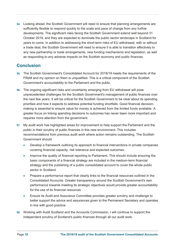**54.** Looking ahead, the Scottish Government will need to ensure that planning arrangements are sufficiently flexible to respond quickly to the scale and pace of change from any further developments. The significant risks facing the Scottish Government extend well beyond 31 October 2019, and they are expected to dominate the public sector landscape in Scotland for years to come. In addition to addressing the short-term risks of EU withdrawal, with or without a trade deal, the Scottish Government will need to ensure it is able to transition effectively to any new partnership or trade arrangements, new funding mechanisms and legislation, as well as responding to any adverse impacts on the Scottish economy and public finances.

#### **Conclusion**

- **55.** The Scottish Government's Consolidated Account for 2018/19 meets the requirements of the FReM and my opinion on them is unqualified. This is a critical component of the Scottish Government's accountability to the Parliament and the public.
- **56.** The ongoing significant risks and uncertainty emerging from EU withdrawal will pose unprecedented challenges for the Scottish Government's management of public finances over the next few years. It will be critical for the Scottish Government to be clear about its spending priorities and how it expects to address potential funding shortfalls. Good financial decisionmaking is essential to ensure value for money is achieved from the limited funds available. A greater focus on linking spending decisions to outcomes has never been more important and requires more attention from the government.
- **57.** My audit work has highlighted areas for improvement to help support the Parliament and the public in their scrutiny of public finances in this new environment. This includes recommendations from previous audit work where action remains outstanding. The Scottish Government should:
	- Develop a framework outlining its approach to financial interventions in private companies covering financial capacity, risk tolerance and expected outcomes.
	- Improve the quality of financial reporting to Parliament. This should include ensuring the basic components of a financial strategy are included in the medium-term financial strategy and the publishing of a public consolidated account to cover the whole public sector in Scotland.
	- Prepare a performance report that clearly links to the financial resources outlined in the Consolidated Accounts. Greater transparency around the Scottish Government's own performance towards meeting its strategic objectives would provide greater accountability for the use of its financial resources
	- x Ensure its Audit and Assurance Committee provides greater scrutiny and challenge to better support the advice and assurances given to the Permanent Secretary and operates in line with good practice.
- **58.** Working with Audit Scotland and the Accounts Commission, I will continue to support the independent scrutiny of Scotland's public finances through all our audit work.